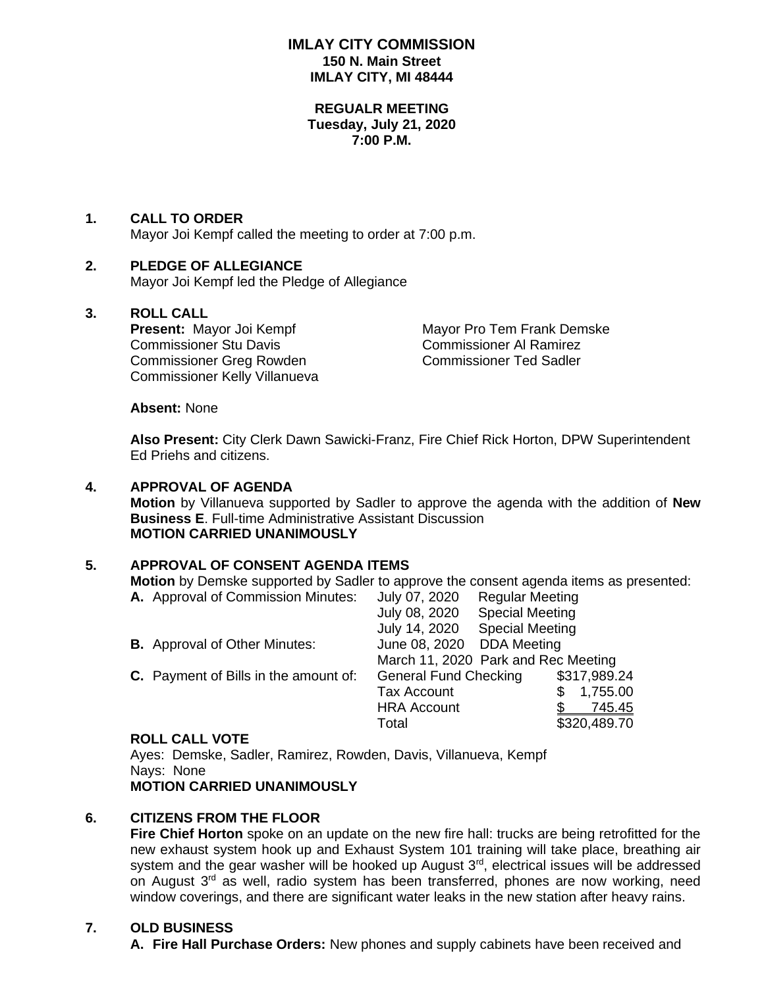# **IMLAY CITY COMMISSION 150 N. Main Street IMLAY CITY, MI 48444**

#### **REGUALR MEETING Tuesday, July 21, 2020 7:00 P.M.**

# **1. CALL TO ORDER**

Mayor Joi Kempf called the meeting to order at 7:00 p.m.

# **2. PLEDGE OF ALLEGIANCE**

Mayor Joi Kempf led the Pledge of Allegiance

**3. ROLL CALL** Commissioner Stu Davis Commissioner Al Ramirez Commissioner Greg Rowden Commissioner Ted Sadler Commissioner Kelly Villanueva

**Mayor Pro Tem Frank Demske** 

**Absent:** None

**Also Present:** City Clerk Dawn Sawicki-Franz, Fire Chief Rick Horton, DPW Superintendent Ed Priehs and citizens.

### **4. APPROVAL OF AGENDA**

**Motion** by Villanueva supported by Sadler to approve the agenda with the addition of **New Business E**. Full-time Administrative Assistant Discussion **MOTION CARRIED UNANIMOUSLY**

# **5. APPROVAL OF CONSENT AGENDA ITEMS**

**Motion** by Demske supported by Sadler to approve the consent agenda items as presented: **A.** Approval of Commission Minutes: July 07, 2020 Regular Meeting

| A. Approval of Commission Minutes:    | JUIV UT, ZUZU                       | Requiar Meeting        |  |               |
|---------------------------------------|-------------------------------------|------------------------|--|---------------|
|                                       | July 08, 2020                       | <b>Special Meeting</b> |  |               |
|                                       | July 14, 2020                       | <b>Special Meeting</b> |  |               |
| <b>B.</b> Approval of Other Minutes:  | June 08, 2020 DDA Meeting           |                        |  |               |
|                                       | March 11, 2020 Park and Rec Meeting |                        |  |               |
| C. Payment of Bills in the amount of: | <b>General Fund Checking</b>        |                        |  | \$317,989.24  |
|                                       | <b>Tax Account</b>                  |                        |  | 1,755.00      |
|                                       | <b>HRA Account</b>                  |                        |  | <u>745.45</u> |
|                                       | Total                               |                        |  | \$320,489.70  |
|                                       |                                     |                        |  |               |

#### **ROLL CALL VOTE**

Ayes: Demske, Sadler, Ramirez, Rowden, Davis, Villanueva, Kempf Nays: None **MOTION CARRIED UNANIMOUSLY**

# **6. CITIZENS FROM THE FLOOR**

**Fire Chief Horton** spoke on an update on the new fire hall: trucks are being retrofitted for the new exhaust system hook up and Exhaust System 101 training will take place, breathing air system and the gear washer will be hooked up August  $3<sup>rd</sup>$ , electrical issues will be addressed on August 3<sup>rd</sup> as well, radio system has been transferred, phones are now working, need window coverings, and there are significant water leaks in the new station after heavy rains.

# **7. OLD BUSINESS**

**A. Fire Hall Purchase Orders:** New phones and supply cabinets have been received and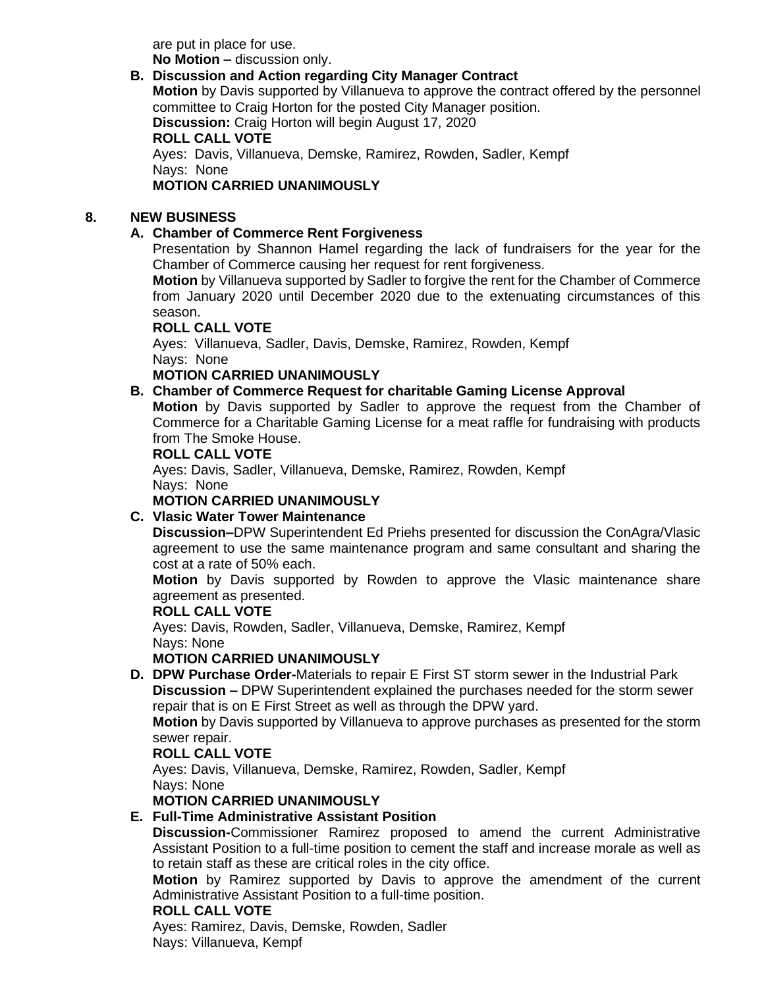are put in place for use. **No Motion –** discussion only.

# **B. Discussion and Action regarding City Manager Contract**

**Motion** by Davis supported by Villanueva to approve the contract offered by the personnel committee to Craig Horton for the posted City Manager position.

**Discussion:** Craig Horton will begin August 17, 2020

**ROLL CALL VOTE**

Ayes: Davis, Villanueva, Demske, Ramirez, Rowden, Sadler, Kempf Nays: None

**MOTION CARRIED UNANIMOUSLY**

# **8. NEW BUSINESS**

# **A. Chamber of Commerce Rent Forgiveness**

Presentation by Shannon Hamel regarding the lack of fundraisers for the year for the Chamber of Commerce causing her request for rent forgiveness.

**Motion** by Villanueva supported by Sadler to forgive the rent for the Chamber of Commerce from January 2020 until December 2020 due to the extenuating circumstances of this season.

**ROLL CALL VOTE**

Ayes: Villanueva, Sadler, Davis, Demske, Ramirez, Rowden, Kempf Nays: None

**MOTION CARRIED UNANIMOUSLY**

# **B. Chamber of Commerce Request for charitable Gaming License Approval**

**Motion** by Davis supported by Sadler to approve the request from the Chamber of Commerce for a Charitable Gaming License for a meat raffle for fundraising with products from The Smoke House.

### **ROLL CALL VOTE**

Ayes: Davis, Sadler, Villanueva, Demske, Ramirez, Rowden, Kempf Nays: None

## **MOTION CARRIED UNANIMOUSLY**

# **C. Vlasic Water Tower Maintenance**

**Discussion–**DPW Superintendent Ed Priehs presented for discussion the ConAgra/Vlasic agreement to use the same maintenance program and same consultant and sharing the cost at a rate of 50% each.

**Motion** by Davis supported by Rowden to approve the Vlasic maintenance share agreement as presented.

#### **ROLL CALL VOTE**

Ayes: Davis, Rowden, Sadler, Villanueva, Demske, Ramirez, Kempf Nays: None

# **MOTION CARRIED UNANIMOUSLY**

**D. DPW Purchase Order-**Materials to repair E First ST storm sewer in the Industrial Park **Discussion –** DPW Superintendent explained the purchases needed for the storm sewer repair that is on E First Street as well as through the DPW yard.

**Motion** by Davis supported by Villanueva to approve purchases as presented for the storm sewer repair.

# **ROLL CALL VOTE**

Ayes: Davis, Villanueva, Demske, Ramirez, Rowden, Sadler, Kempf Nays: None

# **MOTION CARRIED UNANIMOUSLY**

# **E. Full-Time Administrative Assistant Position**

**Discussion-**Commissioner Ramirez proposed to amend the current Administrative Assistant Position to a full-time position to cement the staff and increase morale as well as to retain staff as these are critical roles in the city office.

**Motion** by Ramirez supported by Davis to approve the amendment of the current Administrative Assistant Position to a full-time position.

# **ROLL CALL VOTE**

Ayes: Ramirez, Davis, Demske, Rowden, Sadler Nays: Villanueva, Kempf